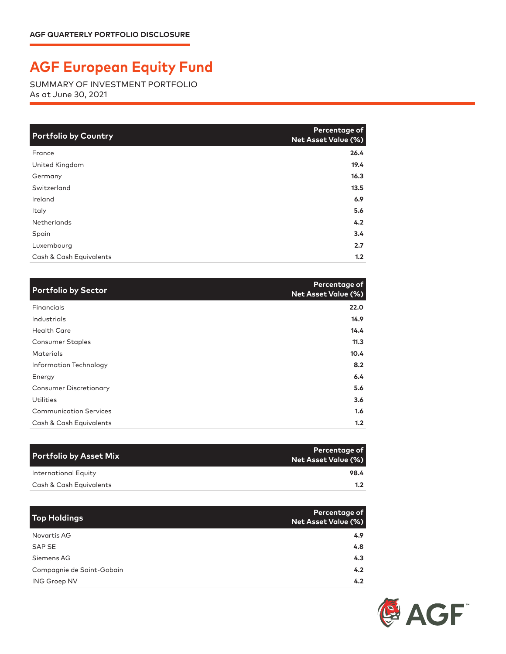## **AGF European Equity Fund**

SUMMARY OF INVESTMENT PORTFOLIO As at June 30, 2021

| <b>Portfolio by Country</b> | Percentage of<br><b>Net Asset Value (%)</b> |
|-----------------------------|---------------------------------------------|
| France                      | 26.4                                        |
| United Kingdom              | 19.4                                        |
| Germany                     | 16.3                                        |
| Switzerland                 | 13.5                                        |
| Ireland                     | 6.9                                         |
| <b>Italy</b>                | 5.6                                         |
| <b>Netherlands</b>          | 4.2                                         |
| Spain                       | 3.4                                         |
| Luxembourg                  | 2.7                                         |
| Cash & Cash Equivalents     | 1.2                                         |

| <b>Portfolio by Sector</b>    | <b>Percentage of</b><br><b>Net Asset Value (%)</b> |
|-------------------------------|----------------------------------------------------|
| Financials                    | 22.0                                               |
| Industrials                   | 14.9                                               |
| <b>Health Care</b>            | 14.4                                               |
| <b>Consumer Staples</b>       | 11.3                                               |
| <b>Materials</b>              | 10.4                                               |
| Information Technology        | 8.2                                                |
| Energy                        | 6.4                                                |
| <b>Consumer Discretionary</b> | 5.6                                                |
| <b>Utilities</b>              | 3.6                                                |
| <b>Communication Services</b> | 1.6                                                |
| Cash & Cash Equivalents       | 1.2                                                |

| Portfolio by Asset Mix  | Percentage of<br>Net Asset Value (%) |
|-------------------------|--------------------------------------|
| International Equity    | 98.4                                 |
| Cash & Cash Equivalents | 1.2 <sub>1</sub>                     |

| <b>Top Holdings</b>       | Percentage of<br><b>Net Asset Value (%)</b> |
|---------------------------|---------------------------------------------|
| Novartis AG               | 4.9                                         |
| SAP SE                    | 4.8                                         |
| Siemens AG                | 4.3                                         |
| Compagnie de Saint-Gobain | 4.2                                         |
| <b>ING Groep NV</b>       | 4.2                                         |